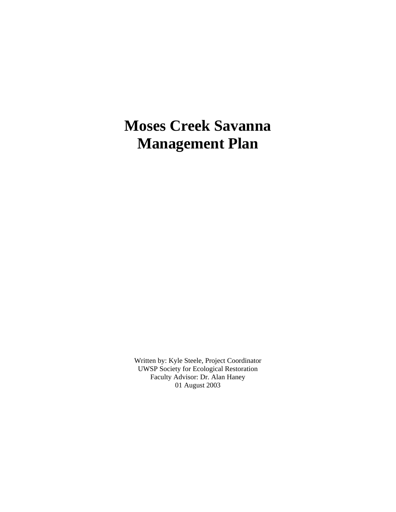# **Moses Creek Savanna Management Plan**

Written by: Kyle Steele, Project Coordinator UWSP Society for Ecological Restoration Faculty Advisor: Dr. Alan Haney 01 August 2003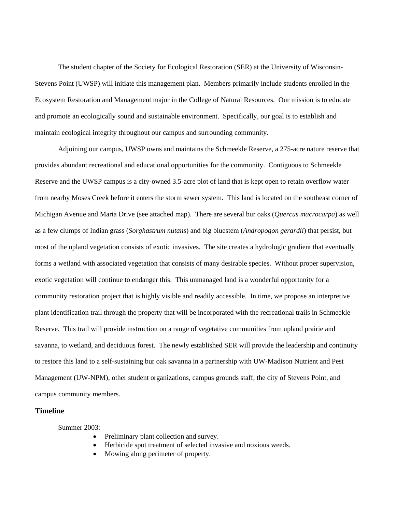The student chapter of the Society for Ecological Restoration (SER) at the University of Wisconsin-Stevens Point (UWSP) will initiate this management plan. Members primarily include students enrolled in the Ecosystem Restoration and Management major in the College of Natural Resources. Our mission is to educate and promote an ecologically sound and sustainable environment. Specifically, our goal is to establish and maintain ecological integrity throughout our campus and surrounding community.

Adjoining our campus, UWSP owns and maintains the Schmeekle Reserve, a 275-acre nature reserve that provides abundant recreational and educational opportunities for the community. Contiguous to Schmeekle Reserve and the UWSP campus is a city-owned 3.5-acre plot of land that is kept open to retain overflow water from nearby Moses Creek before it enters the storm sewer system. This land is located on the southeast corner of Michigan Avenue and Maria Drive (see attached map). There are several bur oaks (*Quercus macrocarpa*) as well as a few clumps of Indian grass (*Sorghastrum nutans*) and big bluestem (*Andropogon gerardii*) that persist, but most of the upland vegetation consists of exotic invasives. The site creates a hydrologic gradient that eventually forms a wetland with associated vegetation that consists of many desirable species. Without proper supervision, exotic vegetation will continue to endanger this. This unmanaged land is a wonderful opportunity for a community restoration project that is highly visible and readily accessible. In time, we propose an interpretive plant identification trail through the property that will be incorporated with the recreational trails in Schmeekle Reserve. This trail will provide instruction on a range of vegetative communities from upland prairie and savanna, to wetland, and deciduous forest. The newly established SER will provide the leadership and continuity to restore this land to a self-sustaining bur oak savanna in a partnership with UW-Madison Nutrient and Pest Management (UW-NPM), other student organizations, campus grounds staff, the city of Stevens Point, and campus community members.

# **Timeline**

Summer 2003:

- Preliminary plant collection and survey.
- Herbicide spot treatment of selected invasive and noxious weeds.
- Mowing along perimeter of property.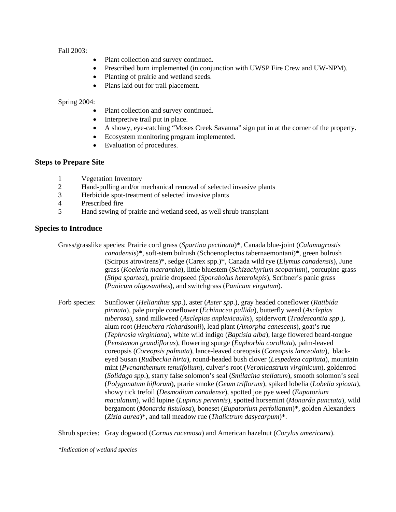Fall 2003:

- Plant collection and survey continued.
- Prescribed burn implemented (in conjunction with UWSP Fire Crew and UW-NPM).
- Planting of prairie and wetland seeds.
- Plans laid out for trail placement.

#### Spring 2004:

- Plant collection and survey continued.
- Interpretive trail put in place.
- A showy, eye-catching "Moses Creek Savanna" sign put in at the corner of the property.
- Ecosystem monitoring program implemented.
- Evaluation of procedures.

# **Steps to Prepare Site**

- 1 Vegetation Inventory
- 2 Hand-pulling and/or mechanical removal of selected invasive plants
- 3 Herbicide spot-treatment of selected invasive plants
- 4 Prescribed fire
- 5 Hand sewing of prairie and wetland seed, as well shrub transplant

#### **Species to Introduce**

Grass/grasslike species: Prairie cord grass (*Spartina pectinata*)\*, Canada blue-joint (*Calamagrostis canadensis*)\*, soft-stem bulrush (Schoenoplectus tabernaemontani)\*, green bulrush (Scirpus atrovirens)\*, sedge (Carex spp.)\*, Canada wild rye (*Elymus canadensis*), June grass (*Koeleria macrantha*), little bluestem (*Schizachyrium scoparium*), porcupine grass (*Stipa spartea*), prairie dropseed (*Sporabolus heterolepis*), Scribner's panic grass (*Panicum oligosanthes*), and switchgrass (*Panicum virgatum*).

Forb species: Sunflower (*Helianthus spp*.), aster (*Aster spp*.), gray headed coneflower (*Ratibida pinnata*), pale purple coneflower (*Echinacea pallida*), butterfly weed (*Asclepias tuberosa*), sand milkweed (*Asclepias anplexicaulis*), spiderwort (*Tradescantia spp*.), alum root (*Heuchera richardsonii*), lead plant (*Amorpha canescens*), goat's rue (*Tephrosia virginiana*), white wild indigo (*Baptisia alba*), large flowered beard-tongue (*Penstemon grandiflorus*), flowering spurge (*Euphorbia corollata*), palm-leaved coreopsis (*Coreopsis palmata*), lance-leaved coreopsis (*Coreopsis lanceolata*), blackeyed Susan (*Rudbeckia hirta*), round-headed bush clover (*Lespedeza capitata*), mountain mint (*Pycnanthemum tenuifolium*), culver's root (*Veronicastrum virginicum*), goldenrod (*Solidago spp*.), starry false solomon's seal (*Smilacina stellatum*), smooth solomon's seal (*Polygonatum biflorum*), prarie smoke (*Geum triflorum*), spiked lobelia (*Lobelia spicata*), showy tick trefoil (*Desmodium canadense*), spotted joe pye weed (*Eupatorium maculatum*), wild lupine (*Lupinus perennis*), spotted horsemint (*Monarda punctata*), wild bergamont (*Monarda fistulosa*), boneset (*Eupatorium perfoliatum*)\*, golden Alexanders (*Zizia aurea*)\*, and tall meadow rue (*Thalictrum dasycarpum*)\*.

Shrub species: Gray dogwood (*Cornus racemosa*) and American hazelnut (*Corylus americana*).

*\*Indication of wetland species*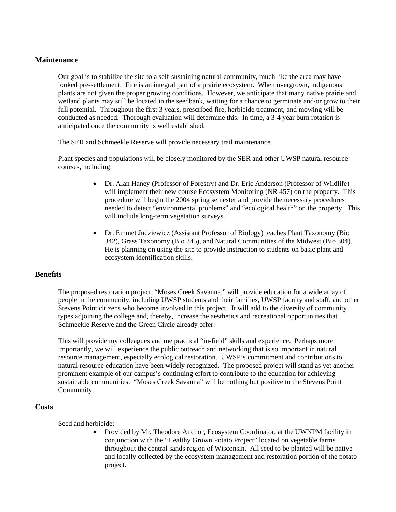## **Maintenance**

Our goal is to stabilize the site to a self-sustaining natural community, much like the area may have looked pre-settlement. Fire is an integral part of a prairie ecosystem. When overgrown, indigenous plants are not given the proper growing conditions. However, we anticipate that many native prairie and wetland plants may still be located in the seedbank, waiting for a chance to germinate and/or grow to their full potential. Throughout the first 3 years, prescribed fire, herbicide treatment, and mowing will be conducted as needed. Thorough evaluation will determine this. In time, a 3-4 year burn rotation is anticipated once the community is well established.

The SER and Schmeekle Reserve will provide necessary trail maintenance.

Plant species and populations will be closely monitored by the SER and other UWSP natural resource courses, including:

- Dr. Alan Haney (Professor of Forestry) and Dr. Eric Anderson (Professor of Wildlife) will implement their new course Ecosystem Monitoring (NR 457) on the property. This procedure will begin the 2004 spring semester and provide the necessary procedures needed to detect "environmental problems" and "ecological health" on the property. This will include long-term vegetation surveys.
- Dr. Emmet Judziewicz (Assistant Professor of Biology) teaches Plant Taxonomy (Bio 342), Grass Taxonomy (Bio 345), and Natural Communities of the Midwest (Bio 304). He is planning on using the site to provide instruction to students on basic plant and ecosystem identification skills.

# **Benefits**

The proposed restoration project, "Moses Creek Savanna," will provide education for a wide array of people in the community, including UWSP students and their families, UWSP faculty and staff, and other Stevens Point citizens who become involved in this project. It will add to the diversity of community types adjoining the college and, thereby, increase the aesthetics and recreational opportunities that Schmeekle Reserve and the Green Circle already offer.

This will provide my colleagues and me practical "in-field" skills and experience. Perhaps more importantly, we will experience the public outreach and networking that is so important in natural resource management, especially ecological restoration. UWSP's commitment and contributions to natural resource education have been widely recognized. The proposed project will stand as yet another prominent example of our campus's continuing effort to contribute to the education for achieving sustainable communities. "Moses Creek Savanna" will be nothing but positive to the Stevens Point Community.

#### **Costs**

Seed and herbicide:

• Provided by Mr. Theodore Anchor, Ecosystem Coordinator, at the UWNPM facility in conjunction with the "Healthy Grown Potato Project" located on vegetable farms throughout the central sands region of Wisconsin. All seed to be planted will be native and locally collected by the ecosystem management and restoration portion of the potato project.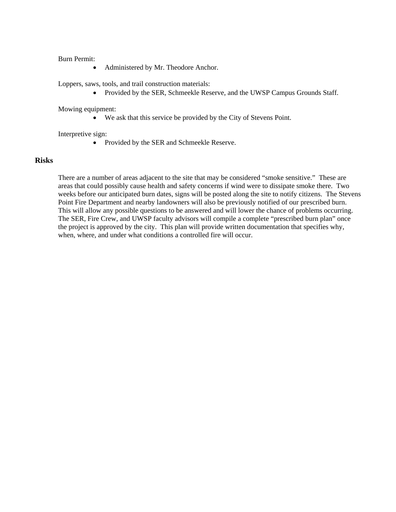Burn Permit:

• Administered by Mr. Theodore Anchor.

Loppers, saws, tools, and trail construction materials:

• Provided by the SER, Schmeekle Reserve, and the UWSP Campus Grounds Staff.

Mowing equipment:

• We ask that this service be provided by the City of Stevens Point.

Interpretive sign:

• Provided by the SER and Schmeekle Reserve.

# **Risks**

There are a number of areas adjacent to the site that may be considered "smoke sensitive." These are areas that could possibly cause health and safety concerns if wind were to dissipate smoke there. Two weeks before our anticipated burn dates, signs will be posted along the site to notify citizens. The Stevens Point Fire Department and nearby landowners will also be previously notified of our prescribed burn. This will allow any possible questions to be answered and will lower the chance of problems occurring. The SER, Fire Crew, and UWSP faculty advisors will compile a complete "prescribed burn plan" once the project is approved by the city. This plan will provide written documentation that specifies why, when, where, and under what conditions a controlled fire will occur.